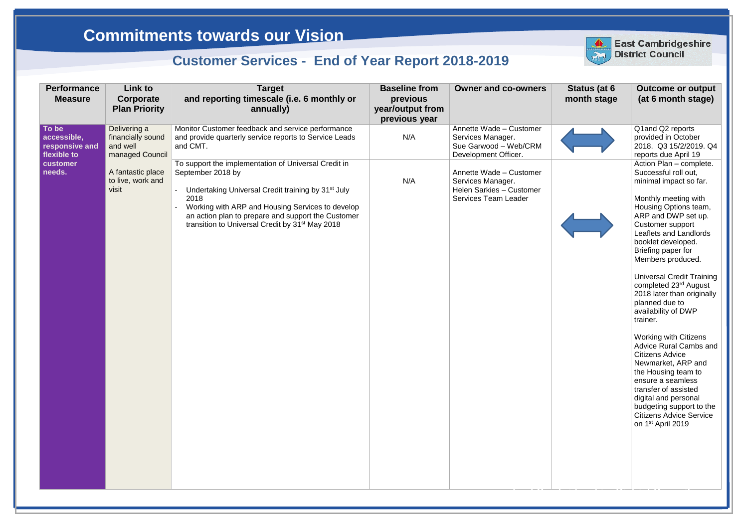## **Status (at 6 month stage**





| <b>Performance</b><br><b>Measure</b>                  | Link to<br>Corporate<br><b>Plan Priority</b>                     | <b>Target</b><br>and reporting timescale (i.e. 6 monthly or<br>annually)                                                                                                                                                                                                                                                     | <b>Baseline from</b><br>previous<br>year/output from<br>previous year | <b>Owner and co-owners</b>                                                                              | Status (at 6<br>month stage | Outcome or<br>(at 6 month s                                                                                                                                                                                                                                                                                                                                                                                                                                                                                                                                                                            |
|-------------------------------------------------------|------------------------------------------------------------------|------------------------------------------------------------------------------------------------------------------------------------------------------------------------------------------------------------------------------------------------------------------------------------------------------------------------------|-----------------------------------------------------------------------|---------------------------------------------------------------------------------------------------------|-----------------------------|--------------------------------------------------------------------------------------------------------------------------------------------------------------------------------------------------------------------------------------------------------------------------------------------------------------------------------------------------------------------------------------------------------------------------------------------------------------------------------------------------------------------------------------------------------------------------------------------------------|
| To be<br>accessible,<br>responsive and<br>flexible to | Delivering a<br>financially sound<br>and well<br>managed Council | Monitor Customer feedback and service performance<br>and provide quarterly service reports to Service Leads<br>and CMT.                                                                                                                                                                                                      | N/A                                                                   | Annette Wade - Customer<br>Services Manager.<br>Sue Garwood - Web/CRM<br>Development Officer.           |                             | Q1and Q2 report<br>provided in Octo<br>2018. Q3 15/2/2<br>reports due April                                                                                                                                                                                                                                                                                                                                                                                                                                                                                                                            |
| customer<br>needs.                                    | A fantastic place<br>to live, work and<br>visit                  | To support the implementation of Universal Credit in<br>September 2018 by<br>Undertaking Universal Credit training by 31 <sup>st</sup> July<br>2018<br>Working with ARP and Housing Services to develop<br>an action plan to prepare and support the Customer<br>transition to Universal Credit by 31 <sup>st</sup> May 2018 | N/A                                                                   | Annette Wade - Customer<br>Services Manager.<br>Helen Sarkies - Customer<br><b>Services Team Leader</b> |                             | Action Plan - co<br>Successful roll o<br>minimal impact s<br>Monthly meeting<br><b>Housing Options</b><br>ARP and DWP s<br>Customer suppo<br>Leaflets and Lan<br>booklet develope<br>Briefing paper fo<br>Members produc<br><b>Universal Credit</b><br>completed 23rd A<br>2018 later than o<br>planned due to<br>availability of DV<br>trainer.<br>Working with Citi<br>Advice Rural Ca<br><b>Citizens Advice</b><br>Newmarket, ARF<br>the Housing tear<br>ensure a seamle<br>transfer of assist<br>digital and perso<br>budgeting suppo<br><b>Citizens Advice 9</b><br>on 1 <sup>st</sup> April 2019 |



## **East Cambridgeshire District Council**

Q1and Q2 reports provided in October 2018. Q3 15/2/2019. Q4 reports due April 19 Action Plan – complete. Successful roll out, minimal impact so far.



Monthly meeting with Housing Options team, ARP and DWP set up. Customer support Leaflets and Landlords booklet developed. Briefing paper for Members produced.

Universal Credit Training completed 23<sup>rd</sup> August 2018 later than originally planned due to availability of DWP trainer.

Working with Citizens Advice Rural Cambs and Citizens Advice Newmarket, ARP and the Housing team to ensure a seamless transfer of assisted digital and personal budgeting support to the Citizens Advice Service on 1 st April 2019

## **Commitments towards our Vision**

## **Customer Services - End of Year Report 2018-2019**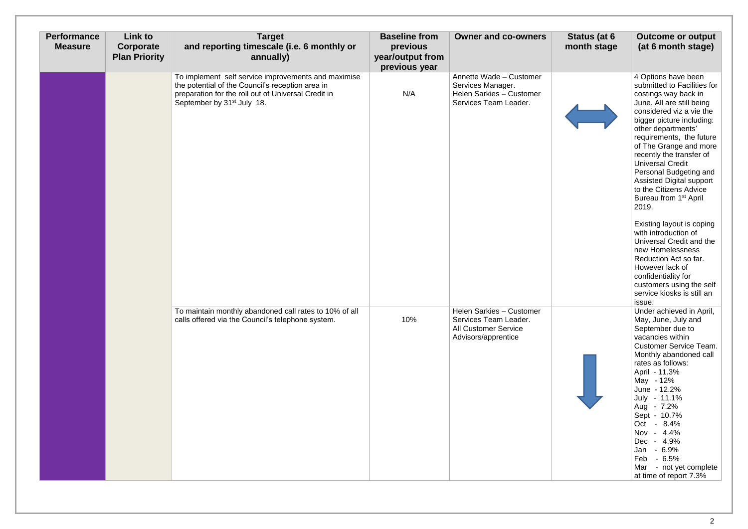| <b>Performance</b><br><b>Measure</b> | Link to<br>Corporate<br><b>Plan Priority</b> | <b>Target</b><br>and reporting timescale (i.e. 6 monthly or<br>annually)                                                                                                                                 | <b>Baseline from</b><br>previous<br>year/output from<br>previous year | <b>Owner and co-owners</b>                                                                                     | Status (at 6<br>month stage | <b>Outcome or output</b><br>(at 6 month stage)                                                                                                                                                                                                                                                                                                                                                                                                                                                                                                                                                                                                                                       |
|--------------------------------------|----------------------------------------------|----------------------------------------------------------------------------------------------------------------------------------------------------------------------------------------------------------|-----------------------------------------------------------------------|----------------------------------------------------------------------------------------------------------------|-----------------------------|--------------------------------------------------------------------------------------------------------------------------------------------------------------------------------------------------------------------------------------------------------------------------------------------------------------------------------------------------------------------------------------------------------------------------------------------------------------------------------------------------------------------------------------------------------------------------------------------------------------------------------------------------------------------------------------|
|                                      |                                              | To implement self service improvements and maximise<br>the potential of the Council's reception area in<br>preparation for the roll out of Universal Credit in<br>September by 31 <sup>st</sup> July 18. | N/A                                                                   | Annette Wade - Customer<br>Services Manager.<br>Helen Sarkies - Customer<br>Services Team Leader.              |                             | 4 Options have been<br>submitted to Facilities for<br>costings way back in<br>June. All are still being<br>considered viz a vie the<br>bigger picture including:<br>other departments'<br>requirements, the future<br>of The Grange and more<br>recently the transfer of<br><b>Universal Credit</b><br>Personal Budgeting and<br><b>Assisted Digital support</b><br>to the Citizens Advice<br>Bureau from 1 <sup>st</sup> April<br>2019.<br>Existing layout is coping<br>with introduction of<br>Universal Credit and the<br>new Homelessness<br>Reduction Act so far.<br>However lack of<br>confidentiality for<br>customers using the self<br>service kiosks is still an<br>issue. |
|                                      |                                              | To maintain monthly abandoned call rates to 10% of all<br>calls offered via the Council's telephone system.                                                                                              | 10%                                                                   | <b>Helen Sarkies - Customer</b><br>Services Team Leader.<br><b>All Customer Service</b><br>Advisors/apprentice |                             | Under achieved in April,<br>May, June, July and<br>September due to<br>vacancies within<br><b>Customer Service Team.</b><br>Monthly abandoned call<br>rates as follows:<br>April - 11.3%<br>May - 12%<br>June - 12.2%<br>July - 11.1%<br>Aug - 7.2%<br>Sept - 10.7%<br>Oct - 8.4%<br>Nov - 4.4%<br>Dec - 4.9%<br>$-6.9%$<br>Jan<br>Feb<br>$-6.5\%$<br>Mar<br>- not yet complete<br>at time of report 7.3%                                                                                                                                                                                                                                                                            |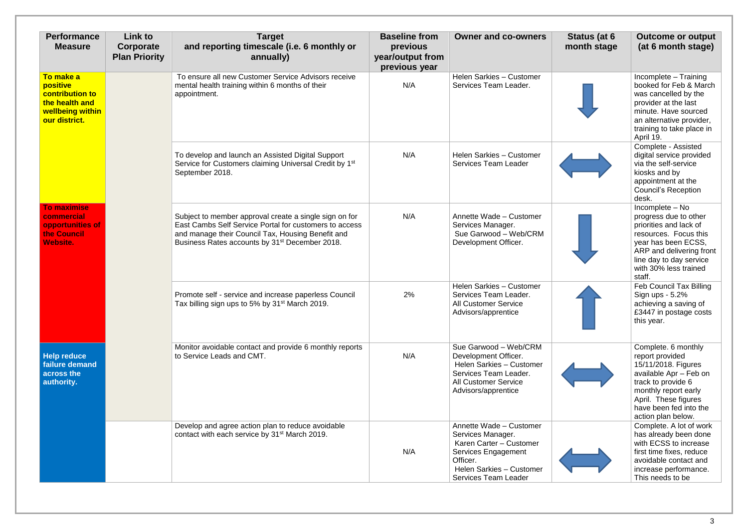| <b>Performance</b><br><b>Measure</b>                                                                   | <b>Link to</b><br>Corporate<br><b>Plan Priority</b> | <b>Target</b><br>and reporting timescale (i.e. 6 monthly or<br>annually)                                                                                                                                                            | <b>Baseline from</b><br>previous<br>year/output from<br>previous year | <b>Owner and co-owners</b>                                                                                                                                            | Status (at 6<br>month stage | <b>Outcome or output</b><br>(at 6 month stage)                                                                                                                                                                |
|--------------------------------------------------------------------------------------------------------|-----------------------------------------------------|-------------------------------------------------------------------------------------------------------------------------------------------------------------------------------------------------------------------------------------|-----------------------------------------------------------------------|-----------------------------------------------------------------------------------------------------------------------------------------------------------------------|-----------------------------|---------------------------------------------------------------------------------------------------------------------------------------------------------------------------------------------------------------|
| To make a<br>positive<br><b>contribution to</b><br>the health and<br>wellbeing within<br>our district. |                                                     | To ensure all new Customer Service Advisors receive<br>mental health training within 6 months of their<br>appointment.                                                                                                              | N/A                                                                   | Helen Sarkies - Customer<br>Services Team Leader.                                                                                                                     |                             | Incomplete - Training<br>booked for Feb & March<br>was cancelled by the<br>provider at the last<br>minute. Have sourced<br>an alternative provider,<br>training to take place in<br>April 19.                 |
|                                                                                                        |                                                     | To develop and launch an Assisted Digital Support<br>Service for Customers claiming Universal Credit by 1 <sup>st</sup><br>September 2018.                                                                                          | N/A                                                                   | Helen Sarkies - Customer<br><b>Services Team Leader</b>                                                                                                               |                             | Complete - Assisted<br>digital service provided<br>via the self-service<br>kiosks and by<br>appointment at the<br><b>Council's Reception</b><br>desk.                                                         |
| <b>To maximise</b><br>commercial<br>opportunities of<br>the Council<br><b>Website.</b>                 |                                                     | Subject to member approval create a single sign on for<br>East Cambs Self Service Portal for customers to access<br>and manage their Council Tax, Housing Benefit and<br>Business Rates accounts by 31 <sup>st</sup> December 2018. | N/A                                                                   | Annette Wade - Customer<br>Services Manager.<br>Sue Garwood - Web/CRM<br>Development Officer.                                                                         |                             | Incomplete - No<br>progress due to other<br>priorities and lack of<br>resources. Focus this<br>year has been ECSS,<br>ARP and delivering front<br>line day to day service<br>with 30% less trained<br>staff.  |
|                                                                                                        |                                                     | Promote self - service and increase paperless Council<br>Tax billing sign ups to 5% by 31 <sup>st</sup> March 2019.                                                                                                                 | 2%                                                                    | Helen Sarkies - Customer<br>Services Team Leader.<br><b>All Customer Service</b><br>Advisors/apprentice                                                               |                             | <b>Feb Council Tax Billing</b><br>Sign ups - 5.2%<br>achieving a saving of<br>£3447 in postage costs<br>this year.                                                                                            |
| <b>Help reduce</b><br>failure demand<br>across the<br>authority.                                       |                                                     | Monitor avoidable contact and provide 6 monthly reports<br>to Service Leads and CMT.                                                                                                                                                | N/A                                                                   | Sue Garwood - Web/CRM<br>Development Officer.<br>Helen Sarkies - Customer<br>Services Team Leader.<br><b>All Customer Service</b><br>Advisors/apprentice              |                             | Complete. 6 monthly<br>report provided<br>15/11/2018. Figures<br>available Apr - Feb on<br>track to provide 6<br>monthly report early<br>April. These figures<br>have been fed into the<br>action plan below. |
|                                                                                                        |                                                     | Develop and agree action plan to reduce avoidable<br>contact with each service by 31 <sup>st</sup> March 2019.                                                                                                                      | N/A                                                                   | Annette Wade - Customer<br>Services Manager.<br>Karen Carter - Customer<br>Services Engagement<br>Officer.<br>Helen Sarkies - Customer<br><b>Services Team Leader</b> |                             | Complete. A lot of work<br>has already been done<br>with ECSS to increase<br>first time fixes, reduce<br>avoidable contact and<br>increase performance.<br>This needs to be                                   |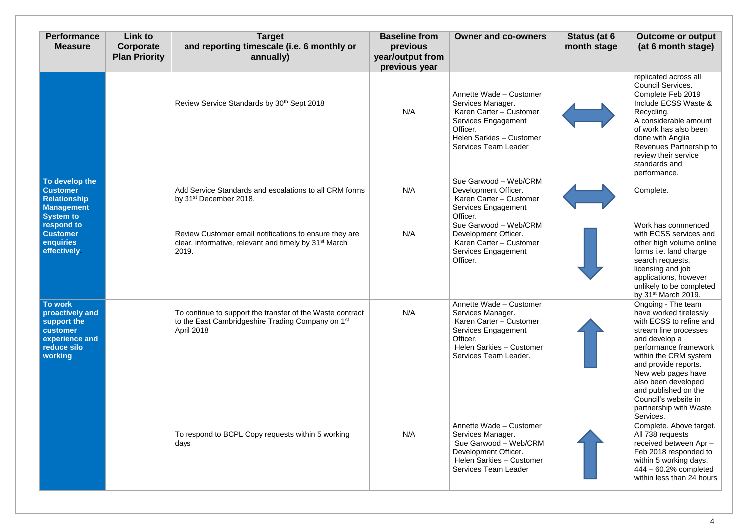| <b>Performance</b><br><b>Measure</b>                                                              | <b>Link to</b><br>Corporate<br><b>Plan Priority</b> | <b>Target</b><br>and reporting timescale (i.e. 6 monthly or<br>annually)                                                                 | <b>Baseline from</b><br>previous<br>year/output from<br>previous year | <b>Owner and co-owners</b>                                                                                                                                            | Status (at 6<br>month stage | <b>Outcome or output</b><br>(at 6 month stage)                                                                                                                                                                                                                                                                                  |
|---------------------------------------------------------------------------------------------------|-----------------------------------------------------|------------------------------------------------------------------------------------------------------------------------------------------|-----------------------------------------------------------------------|-----------------------------------------------------------------------------------------------------------------------------------------------------------------------|-----------------------------|---------------------------------------------------------------------------------------------------------------------------------------------------------------------------------------------------------------------------------------------------------------------------------------------------------------------------------|
|                                                                                                   |                                                     |                                                                                                                                          |                                                                       |                                                                                                                                                                       |                             | replicated across all<br><b>Council Services.</b>                                                                                                                                                                                                                                                                               |
|                                                                                                   |                                                     | Review Service Standards by 30 <sup>th</sup> Sept 2018                                                                                   | N/A                                                                   | Annette Wade - Customer<br>Services Manager.<br>Karen Carter - Customer<br>Services Engagement<br>Officer.<br>Helen Sarkies - Customer<br><b>Services Team Leader</b> |                             | Complete Feb 2019<br>Include ECSS Waste &<br>Recycling.<br>A considerable amount<br>of work has also been<br>done with Anglia<br>Revenues Partnership to<br>review their service<br>standards and<br>performance.                                                                                                               |
| To develop the<br><b>Customer</b><br><b>Relationship</b><br><b>Management</b><br><b>System to</b> |                                                     | Add Service Standards and escalations to all CRM forms<br>by 31 <sup>st</sup> December 2018.                                             | N/A                                                                   | Sue Garwood - Web/CRM<br>Development Officer.<br>Karen Carter - Customer<br><b>Services Engagement</b><br>Officer.                                                    |                             | Complete.                                                                                                                                                                                                                                                                                                                       |
| respond to<br><b>Customer</b><br>enquiries<br>effectively                                         |                                                     | Review Customer email notifications to ensure they are<br>clear, informative, relevant and timely by 31 <sup>st</sup> March<br>2019.     | N/A                                                                   | Sue Garwood - Web/CRM<br>Development Officer.<br>Karen Carter - Customer<br>Services Engagement<br>Officer.                                                           |                             | Work has commenced<br>with ECSS services and<br>other high volume online<br>forms i.e. land charge<br>search requests,<br>licensing and job<br>applications, however<br>unlikely to be completed<br>by 31 <sup>st</sup> March 2019.                                                                                             |
| To work<br>proactively and<br>support the<br>customer<br>experience and<br>reduce silo<br>working |                                                     | To continue to support the transfer of the Waste contract<br>to the East Cambridgeshire Trading Company on 1 <sup>st</sup><br>April 2018 | N/A                                                                   | Annette Wade - Customer<br>Services Manager.<br>Karen Carter - Customer<br>Services Engagement<br>Officer.<br>Helen Sarkies - Customer<br>Services Team Leader.       |                             | Ongoing - The team<br>have worked tirelessly<br>with ECSS to refine and<br>stream line processes<br>and develop a<br>performance framework<br>within the CRM system<br>and provide reports.<br>New web pages have<br>also been developed<br>and published on the<br>Council's website in<br>partnership with Waste<br>Services. |
|                                                                                                   |                                                     | To respond to BCPL Copy requests within 5 working<br>days                                                                                | N/A                                                                   | Annette Wade - Customer<br>Services Manager.<br>Sue Garwood - Web/CRM<br>Development Officer.<br>Helen Sarkies - Customer<br><b>Services Team Leader</b>              |                             | Complete. Above target.<br>All 738 requests<br>received between Apr-<br>Feb 2018 responded to<br>within 5 working days.<br>444 - 60.2% completed<br>within less than 24 hours                                                                                                                                                   |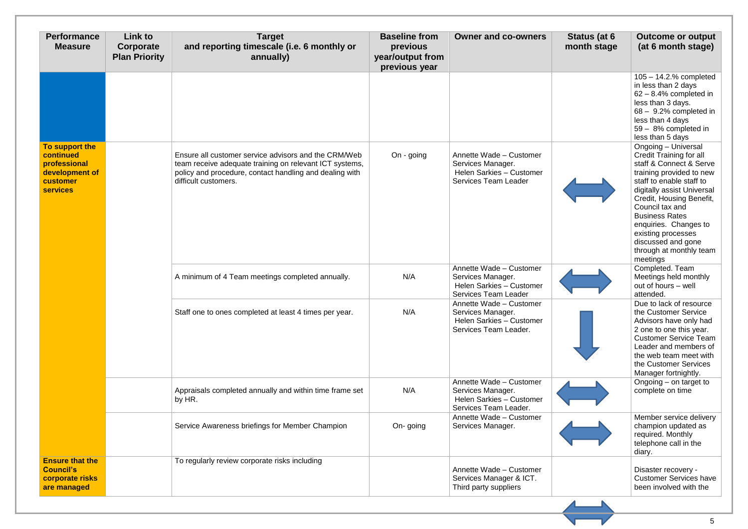| <b>Performance</b><br><b>Measure</b>                                                         | <b>Link to</b><br>Corporate<br><b>Plan Priority</b> | <b>Target</b><br>and reporting timescale (i.e. 6 monthly or<br>annually)                                                                                                                           | <b>Baseline from</b><br>previous<br>year/output from<br>previous year | <b>Owner and co-owners</b>                                                                              | Status (at 6<br>month stage | <b>Outcome or output</b><br>(at 6 month stage)                                                                                                                                                                                                                                                                                                             |
|----------------------------------------------------------------------------------------------|-----------------------------------------------------|----------------------------------------------------------------------------------------------------------------------------------------------------------------------------------------------------|-----------------------------------------------------------------------|---------------------------------------------------------------------------------------------------------|-----------------------------|------------------------------------------------------------------------------------------------------------------------------------------------------------------------------------------------------------------------------------------------------------------------------------------------------------------------------------------------------------|
|                                                                                              |                                                     |                                                                                                                                                                                                    |                                                                       |                                                                                                         |                             | $105 - 14.2$ % completed<br>in less than 2 days<br>$62 - 8.4\%$ completed in<br>less than 3 days.<br>$68 - 9.2\%$ completed in<br>less than 4 days<br>59 - 8% completed in<br>less than 5 days                                                                                                                                                             |
| To support the<br>continued<br>professional<br>development of<br>customer<br><b>services</b> |                                                     | Ensure all customer service advisors and the CRM/Web<br>team receive adequate training on relevant ICT systems,<br>policy and procedure, contact handling and dealing with<br>difficult customers. | On - going                                                            | Annette Wade - Customer<br>Services Manager.<br>Helen Sarkies - Customer<br><b>Services Team Leader</b> |                             | Ongoing - Universal<br><b>Credit Training for all</b><br>staff & Connect & Serve<br>training provided to new<br>staff to enable staff to<br>digitally assist Universal<br>Credit, Housing Benefit,<br>Council tax and<br><b>Business Rates</b><br>enquiries. Changes to<br>existing processes<br>discussed and gone<br>through at monthly team<br>meetings |
|                                                                                              |                                                     | A minimum of 4 Team meetings completed annually.                                                                                                                                                   | N/A                                                                   | Annette Wade - Customer<br>Services Manager.<br>Helen Sarkies - Customer<br><b>Services Team Leader</b> |                             | Completed. Team<br>Meetings held monthly<br>out of hours - well<br>attended.                                                                                                                                                                                                                                                                               |
|                                                                                              |                                                     | Staff one to ones completed at least 4 times per year.                                                                                                                                             | N/A                                                                   | Annette Wade - Customer<br>Services Manager.<br>Helen Sarkies - Customer<br>Services Team Leader.       |                             | Due to lack of resource<br>the Customer Service<br>Advisors have only had<br>2 one to one this year.<br><b>Customer Service Team</b><br>Leader and members of<br>the web team meet with<br>the Customer Services<br>Manager fortnightly.                                                                                                                   |
|                                                                                              |                                                     | Appraisals completed annually and within time frame set<br>by HR.                                                                                                                                  | N/A                                                                   | Annette Wade - Customer<br>Services Manager.<br>Helen Sarkies - Customer<br>Services Team Leader.       |                             | Ongoing – on target to<br>complete on time                                                                                                                                                                                                                                                                                                                 |
|                                                                                              |                                                     | Service Awareness briefings for Member Champion                                                                                                                                                    | On-going                                                              | Annette Wade - Customer<br>Services Manager.                                                            |                             | Member service delivery<br>champion updated as<br>required. Monthly<br>telephone call in the<br>diary.                                                                                                                                                                                                                                                     |
| <b>Ensure that the</b><br><b>Council's</b><br>corporate risks<br>are managed                 |                                                     | To regularly review corporate risks including                                                                                                                                                      |                                                                       | Annette Wade - Customer<br>Services Manager & ICT.<br>Third party suppliers                             |                             | Disaster recovery -<br><b>Customer Services have</b><br>been involved with the                                                                                                                                                                                                                                                                             |